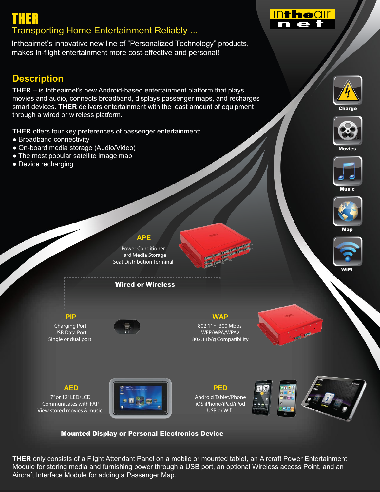# **THER** 7ransporting Home Entertainment Reliably ...

Intheairnet's innovative new line of "Personalized Technology" products, makes in-flight entertainment more cost-effective and personal!

## **Description**

**THER** – is Intheairnet's new Android-based entertainment platform that plays movies and audio, connects broadband, displays passenger maps, and recharges smart devices. **THER** delivers entertainment with the least amount of equipment through a wired or wireless platform.

**THER** offers four key preferences of passenger entertainment:

- Broadband connectivity
- ƔOn-board media storage (Audio/Video)
- The most popular satellite image map
- Device recharging



**Intheall** 

n e

Charge



Movies





Map



## **APE**

Power Conditioner Hard Media Storage Seat Distribution Terminal

Wired or Wireless



Charging Port USB Data Port Single or dual port



802.11n 300 Mbps WEP/WPA/WPA2 802.11b/g Compatibility

**WAP**



7" or 12" LED/LCD Communicates with FAP View stored movies & music



Android Tablet/Phone iOS iPhone/iPad/iPod USB or Wifi





### Mounted Display or Personal Electronics Device

**THER** only consists of a Flight Attendant Panel on a mobile or mounted tablet, an Aircraft Power Entertainment Module for storing media and furnishing power through a USB port, an optional Wireless access Point, and an Aircraft Interface Module for adding a Passenger Map.



WiFI